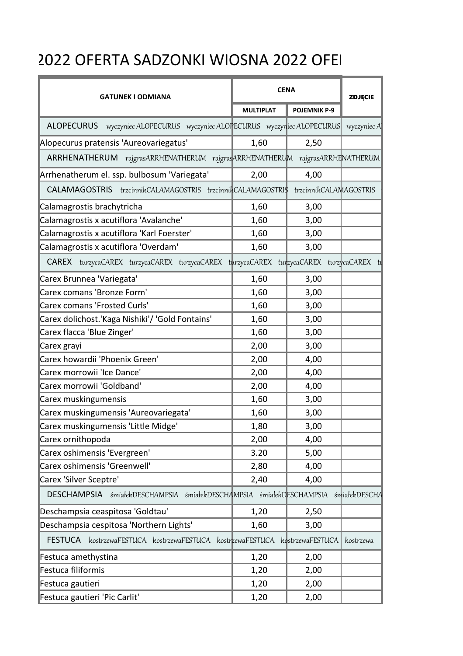## 2022 OFERTA SADZONKI WIOSNA 2022 OFEI

| <b>GATUNEK I ODMIANA</b>                                                              | <b>CENA</b>      |                        | <b>ZDJĘCIE</b> |
|---------------------------------------------------------------------------------------|------------------|------------------------|----------------|
|                                                                                       | <b>MULTIPLAT</b> | <b>POJEMNIK P-9</b>    |                |
| ALOPECURUS wyczyniec ALOPECURUS wyczyniec ALOPECURUS wyczyniec ALOPECURUS wyczyniec A |                  |                        |                |
| Alopecurus pratensis 'Aureovariegatus'                                                | 1,60             | 2,50                   |                |
| ARRHENATHERUM rajgrasARRHENATHERUM rajgrasARRHENATHERUM rajgrasARRHENATHERUM          |                  |                        |                |
| Arrhenatherum el. ssp. bulbosum 'Variegata'                                           | 2,00             | 4,00                   |                |
| CALAMAGOSTRIS trzcinnikCALAMAGOSTRIS trzcinnikCALAMAGOSTRI\$                          |                  | trzcinnikCALAMAGOSTRIS |                |
| Calamagrostis brachytricha                                                            | 1,60             | 3,00                   |                |
| Calamagrostis x acutiflora 'Avalanche'                                                | 1,60             | 3,00                   |                |
| Calamagrostis x acutiflora 'Karl Foerster'                                            | 1,60             | 3,00                   |                |
| Calamagrostis x acutiflora 'Overdam'                                                  | 1,60             | 3,00                   |                |
| CAREX turzycaCAREX turzycaCAREX turzycaCAREX turzycaCAREX turzycaCAREX turzycaCAREX   |                  |                        |                |
| Carex Brunnea 'Variegata'                                                             | 1,60             | 3,00                   |                |
| Carex comans 'Bronze Form'                                                            | 1,60             | 3,00                   |                |
| <b>Carex comans 'Frosted Curls'</b>                                                   | 1,60             | 3,00                   |                |
| Carex dolichost.'Kaga Nishiki'/ 'Gold Fontains'                                       | 1,60             | 3,00                   |                |
| Carex flacca 'Blue Zinger'                                                            | 1,60             | 3,00                   |                |
| Carex grayi                                                                           | 2,00             | 3,00                   |                |
| Carex howardii 'Phoenix Green'                                                        | 2,00             | 4,00                   |                |
| Carex morrowii 'Ice Dance'                                                            | 2,00             | 4,00                   |                |
| Carex morrowii 'Goldband'                                                             | 2,00             | 4,00                   |                |
| Carex muskingumensis                                                                  | 1,60             | 3,00                   |                |
| Carex muskingumensis 'Aureovariegata'                                                 | 1,60             | 3,00                   |                |
| Carex muskingumensis 'Little Midge'                                                   | 1,80             | 3,00                   |                |
| Carex ornithopoda                                                                     | 2,00             | 4,00                   |                |
| Carex oshimensis 'Evergreen'                                                          | 3.20             | 5,00                   |                |
| Carex oshimensis 'Greenwell'                                                          | 2,80             | 4,00                   |                |
| Carex 'Silver Sceptre'                                                                | 2,40             | 4,00                   |                |
| DESCHAMPSIA śmiałekDESCHAMPSIA śmiałekDESCHAMPSIA śmiałekDESCHAMPSIA śmiałekDESCHA    |                  |                        |                |
| Deschampsia ceaspitosa 'Goldtau'                                                      | 1,20             | 2,50                   |                |
| Deschampsia cespitosa 'Northern Lights'                                               | 1,60             | 3,00                   |                |
| FESTUCA kostrzewaFESTUCA kostrzewaFESTUCA kostrzewaFESTUCA kostrzewaFESTUCA           |                  |                        | kostrzewa      |
| Festuca amethystina                                                                   | 1,20             | 2,00                   |                |
| Festuca filiformis                                                                    | 1,20             | 2,00                   |                |
| Festuca gautieri                                                                      | 1,20             | 2,00                   |                |
| Festuca gautieri 'Pic Carlit'                                                         | 1,20             | 2,00                   |                |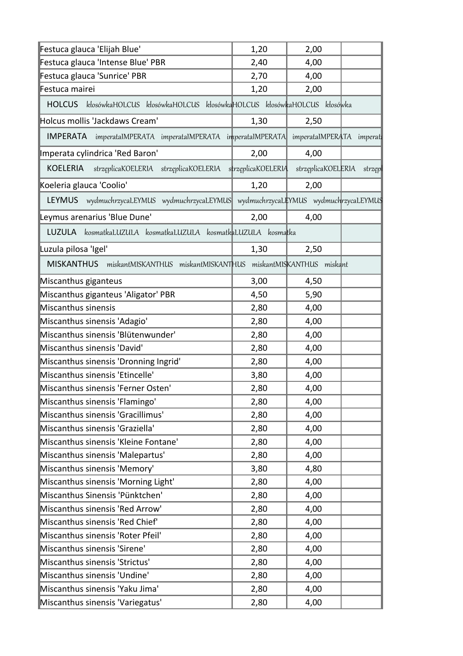| 4,00<br>2,40<br>2,70<br>4,00<br>1,20<br>2,00<br>kłosówkaHOLCUS kłosówkaHOLCUS kłosówkaHOLCUS kłosówkaHOLCUS kłosówka<br><b>HOLCUS</b><br>1,30<br>2,50<br><b>IMPERATA</b><br>imperatalMPERATA imperatalMPERATA imperatalMPERATA<br>imperatalMPERATA imperati<br>2,00<br>4,00<br>strzęplicaKOELERIA strzęplicaKOELERIA strzęplicaKOELERIA<br>strzęplicaKOELERIA strzęp<br>KOELERIA<br>1,20<br>2,00<br>LEYMUS wydmuchrzycaLEYMUS wydmuchrzycaLEYMUS wydmuchrzycaLEYMUS wydmuchrzycaLEYMUS<br>2,00<br>4,00<br>LUZULA kosmatkaLUZULA kosmatkaLUZULA kosmatkaLUZULA kosmatka<br>2,50<br>1,30<br>MISKANTHUS miskantMISKANTHUS miskantMISKANTHUS miskantMISKANTHUS miskant<br>3,00<br>4,50<br>4,50<br>5,90<br>2,80<br>4,00<br>2,80<br>4,00<br>2,80<br>4,00<br>2,80<br>4,00<br>2,80<br>4,00<br>3,80<br>4,00<br>2,80<br>4,00<br>2,80<br>4,00<br>2,80<br>4,00<br>2,80<br>4,00<br>2,80<br>4,00<br>2,80<br>4,00<br>3,80<br>4,80<br>2,80<br>4,00<br>2,80<br>4,00<br>2,80<br>4,00<br>2,80<br>4,00<br>2,80<br>4,00<br>2,80<br>4,00<br>2,80<br>4,00<br>2,80<br>4,00<br>2,80<br>4,00<br>2,80<br>4,00 | Festuca glauca 'Elijah Blue'          | 1,20 | 2,00 |  |
|------------------------------------------------------------------------------------------------------------------------------------------------------------------------------------------------------------------------------------------------------------------------------------------------------------------------------------------------------------------------------------------------------------------------------------------------------------------------------------------------------------------------------------------------------------------------------------------------------------------------------------------------------------------------------------------------------------------------------------------------------------------------------------------------------------------------------------------------------------------------------------------------------------------------------------------------------------------------------------------------------------------------------------------------------------------------------------|---------------------------------------|------|------|--|
|                                                                                                                                                                                                                                                                                                                                                                                                                                                                                                                                                                                                                                                                                                                                                                                                                                                                                                                                                                                                                                                                                    | Festuca glauca 'Intense Blue' PBR     |      |      |  |
|                                                                                                                                                                                                                                                                                                                                                                                                                                                                                                                                                                                                                                                                                                                                                                                                                                                                                                                                                                                                                                                                                    | Festuca glauca 'Sunrice' PBR          |      |      |  |
|                                                                                                                                                                                                                                                                                                                                                                                                                                                                                                                                                                                                                                                                                                                                                                                                                                                                                                                                                                                                                                                                                    | Festuca mairei                        |      |      |  |
|                                                                                                                                                                                                                                                                                                                                                                                                                                                                                                                                                                                                                                                                                                                                                                                                                                                                                                                                                                                                                                                                                    |                                       |      |      |  |
|                                                                                                                                                                                                                                                                                                                                                                                                                                                                                                                                                                                                                                                                                                                                                                                                                                                                                                                                                                                                                                                                                    | Holcus mollis 'Jackdaws Cream'        |      |      |  |
|                                                                                                                                                                                                                                                                                                                                                                                                                                                                                                                                                                                                                                                                                                                                                                                                                                                                                                                                                                                                                                                                                    |                                       |      |      |  |
|                                                                                                                                                                                                                                                                                                                                                                                                                                                                                                                                                                                                                                                                                                                                                                                                                                                                                                                                                                                                                                                                                    | Imperata cylindrica 'Red Baron'       |      |      |  |
|                                                                                                                                                                                                                                                                                                                                                                                                                                                                                                                                                                                                                                                                                                                                                                                                                                                                                                                                                                                                                                                                                    |                                       |      |      |  |
|                                                                                                                                                                                                                                                                                                                                                                                                                                                                                                                                                                                                                                                                                                                                                                                                                                                                                                                                                                                                                                                                                    | Koeleria glauca 'Coolio'              |      |      |  |
|                                                                                                                                                                                                                                                                                                                                                                                                                                                                                                                                                                                                                                                                                                                                                                                                                                                                                                                                                                                                                                                                                    |                                       |      |      |  |
|                                                                                                                                                                                                                                                                                                                                                                                                                                                                                                                                                                                                                                                                                                                                                                                                                                                                                                                                                                                                                                                                                    | Leymus arenarius 'Blue Dune'          |      |      |  |
|                                                                                                                                                                                                                                                                                                                                                                                                                                                                                                                                                                                                                                                                                                                                                                                                                                                                                                                                                                                                                                                                                    |                                       |      |      |  |
|                                                                                                                                                                                                                                                                                                                                                                                                                                                                                                                                                                                                                                                                                                                                                                                                                                                                                                                                                                                                                                                                                    | Luzula pilosa 'Igel'                  |      |      |  |
|                                                                                                                                                                                                                                                                                                                                                                                                                                                                                                                                                                                                                                                                                                                                                                                                                                                                                                                                                                                                                                                                                    |                                       |      |      |  |
|                                                                                                                                                                                                                                                                                                                                                                                                                                                                                                                                                                                                                                                                                                                                                                                                                                                                                                                                                                                                                                                                                    | Miscanthus giganteus                  |      |      |  |
|                                                                                                                                                                                                                                                                                                                                                                                                                                                                                                                                                                                                                                                                                                                                                                                                                                                                                                                                                                                                                                                                                    | Miscanthus giganteus 'Aligator' PBR   |      |      |  |
|                                                                                                                                                                                                                                                                                                                                                                                                                                                                                                                                                                                                                                                                                                                                                                                                                                                                                                                                                                                                                                                                                    | Miscanthus sinensis                   |      |      |  |
|                                                                                                                                                                                                                                                                                                                                                                                                                                                                                                                                                                                                                                                                                                                                                                                                                                                                                                                                                                                                                                                                                    | Miscanthus sinensis 'Adagio'          |      |      |  |
|                                                                                                                                                                                                                                                                                                                                                                                                                                                                                                                                                                                                                                                                                                                                                                                                                                                                                                                                                                                                                                                                                    | Miscanthus sinensis 'Blütenwunder'    |      |      |  |
|                                                                                                                                                                                                                                                                                                                                                                                                                                                                                                                                                                                                                                                                                                                                                                                                                                                                                                                                                                                                                                                                                    | Miscanthus sinensis 'David'           |      |      |  |
|                                                                                                                                                                                                                                                                                                                                                                                                                                                                                                                                                                                                                                                                                                                                                                                                                                                                                                                                                                                                                                                                                    | Miscanthus sinensis 'Dronning Ingrid' |      |      |  |
|                                                                                                                                                                                                                                                                                                                                                                                                                                                                                                                                                                                                                                                                                                                                                                                                                                                                                                                                                                                                                                                                                    | Miscanthus sinensis 'Etincelle'       |      |      |  |
|                                                                                                                                                                                                                                                                                                                                                                                                                                                                                                                                                                                                                                                                                                                                                                                                                                                                                                                                                                                                                                                                                    | Miscanthus sinensis 'Ferner Osten'    |      |      |  |
|                                                                                                                                                                                                                                                                                                                                                                                                                                                                                                                                                                                                                                                                                                                                                                                                                                                                                                                                                                                                                                                                                    | Miscanthus sinensis 'Flamingo'        |      |      |  |
|                                                                                                                                                                                                                                                                                                                                                                                                                                                                                                                                                                                                                                                                                                                                                                                                                                                                                                                                                                                                                                                                                    | Miscanthus sinensis 'Gracillimus'     |      |      |  |
|                                                                                                                                                                                                                                                                                                                                                                                                                                                                                                                                                                                                                                                                                                                                                                                                                                                                                                                                                                                                                                                                                    | Miscanthus sinensis 'Graziella'       |      |      |  |
|                                                                                                                                                                                                                                                                                                                                                                                                                                                                                                                                                                                                                                                                                                                                                                                                                                                                                                                                                                                                                                                                                    | Miscanthus sinensis 'Kleine Fontane'  |      |      |  |
|                                                                                                                                                                                                                                                                                                                                                                                                                                                                                                                                                                                                                                                                                                                                                                                                                                                                                                                                                                                                                                                                                    | Miscanthus sinensis 'Malepartus'      |      |      |  |
|                                                                                                                                                                                                                                                                                                                                                                                                                                                                                                                                                                                                                                                                                                                                                                                                                                                                                                                                                                                                                                                                                    | Miscanthus sinensis 'Memory'          |      |      |  |
|                                                                                                                                                                                                                                                                                                                                                                                                                                                                                                                                                                                                                                                                                                                                                                                                                                                                                                                                                                                                                                                                                    | Miscanthus sinensis 'Morning Light'   |      |      |  |
|                                                                                                                                                                                                                                                                                                                                                                                                                                                                                                                                                                                                                                                                                                                                                                                                                                                                                                                                                                                                                                                                                    | Miscanthus Sinensis 'Pünktchen'       |      |      |  |
|                                                                                                                                                                                                                                                                                                                                                                                                                                                                                                                                                                                                                                                                                                                                                                                                                                                                                                                                                                                                                                                                                    | Miscanthus sinensis 'Red Arrow'       |      |      |  |
|                                                                                                                                                                                                                                                                                                                                                                                                                                                                                                                                                                                                                                                                                                                                                                                                                                                                                                                                                                                                                                                                                    | Miscanthus sinensis 'Red Chief'       |      |      |  |
|                                                                                                                                                                                                                                                                                                                                                                                                                                                                                                                                                                                                                                                                                                                                                                                                                                                                                                                                                                                                                                                                                    | Miscanthus sinensis 'Roter Pfeil'     |      |      |  |
|                                                                                                                                                                                                                                                                                                                                                                                                                                                                                                                                                                                                                                                                                                                                                                                                                                                                                                                                                                                                                                                                                    | Miscanthus sinensis 'Sirene'          |      |      |  |
|                                                                                                                                                                                                                                                                                                                                                                                                                                                                                                                                                                                                                                                                                                                                                                                                                                                                                                                                                                                                                                                                                    | Miscanthus sinensis 'Strictus'        |      |      |  |
|                                                                                                                                                                                                                                                                                                                                                                                                                                                                                                                                                                                                                                                                                                                                                                                                                                                                                                                                                                                                                                                                                    | Miscanthus sinensis 'Undine'          |      |      |  |
|                                                                                                                                                                                                                                                                                                                                                                                                                                                                                                                                                                                                                                                                                                                                                                                                                                                                                                                                                                                                                                                                                    | Miscanthus sinensis 'Yaku Jima'       |      |      |  |
|                                                                                                                                                                                                                                                                                                                                                                                                                                                                                                                                                                                                                                                                                                                                                                                                                                                                                                                                                                                                                                                                                    | Miscanthus sinensis 'Variegatus'      |      |      |  |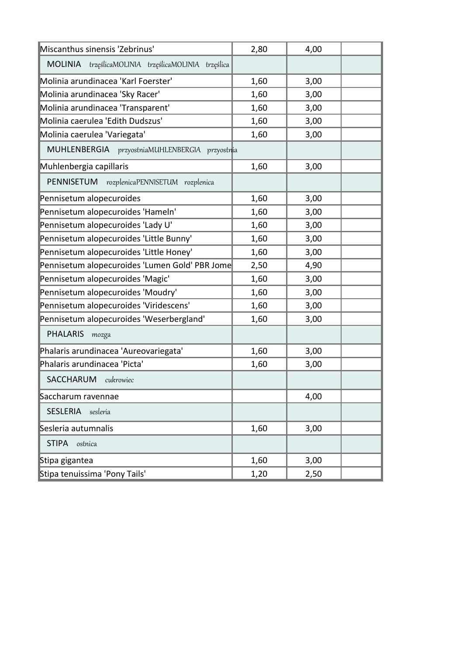| Miscanthus sinensis 'Zebrinus'                      | 2,80 | 4,00 |  |
|-----------------------------------------------------|------|------|--|
| MOLINIA trzęślicaMOLINIA trzęślicaMOLINIA trzęślica |      |      |  |
| Molinia arundinacea 'Karl Foerster'                 | 1,60 | 3,00 |  |
| Molinia arundinacea 'Sky Racer'                     | 1,60 | 3,00 |  |
| Molinia arundinacea 'Transparent'                   | 1,60 | 3,00 |  |
| Molinia caerulea 'Edith Dudszus'                    | 1,60 | 3,00 |  |
| Molinia caerulea 'Variegata'                        | 1,60 | 3,00 |  |
| MUHLENBERGIA przyostniaMUHLENBERGIA przyostnia      |      |      |  |
| Muhlenbergia capillaris                             | 1,60 | 3,00 |  |
| PENNISETUM<br>rozplenicaPENNISETUM rozplenica       |      |      |  |
| Pennisetum alopecuroides                            | 1,60 | 3,00 |  |
| Pennisetum alopecuroides 'Hameln'                   | 1,60 | 3,00 |  |
| Pennisetum alopecuroides 'Lady U'                   | 1,60 | 3,00 |  |
| Pennisetum alopecuroides 'Little Bunny'             | 1,60 | 3,00 |  |
| Pennisetum alopecuroides 'Little Honey'             | 1,60 | 3,00 |  |
| Pennisetum alopecuroides 'Lumen Gold' PBR Jome      | 2,50 | 4,90 |  |
| Pennisetum alopecuroides 'Magic'                    | 1,60 | 3,00 |  |
| Pennisetum alopecuroides 'Moudry'                   | 1,60 | 3,00 |  |
| Pennisetum alopecuroides 'Viridescens'              | 1,60 | 3,00 |  |
| Pennisetum alopecuroides 'Weserbergland'            | 1,60 | 3,00 |  |
| <b>PHALARIS</b><br>mozga                            |      |      |  |
| Phalaris arundinacea 'Aureovariegata'               | 1,60 | 3,00 |  |
| Phalaris arundinacea 'Picta'                        | 1,60 | 3,00 |  |
| SACCHARUM cukrowiec                                 |      |      |  |
| Saccharum ravennae                                  |      | 4,00 |  |
| <b>SESLERIA</b><br>sesleria                         |      |      |  |
| Sesleria autumnalis                                 | 1,60 | 3,00 |  |
| <b>STIPA</b><br>ostnica                             |      |      |  |
| Stipa gigantea                                      | 1,60 | 3,00 |  |
| Stipa tenuissima 'Pony Tails'                       | 1,20 | 2,50 |  |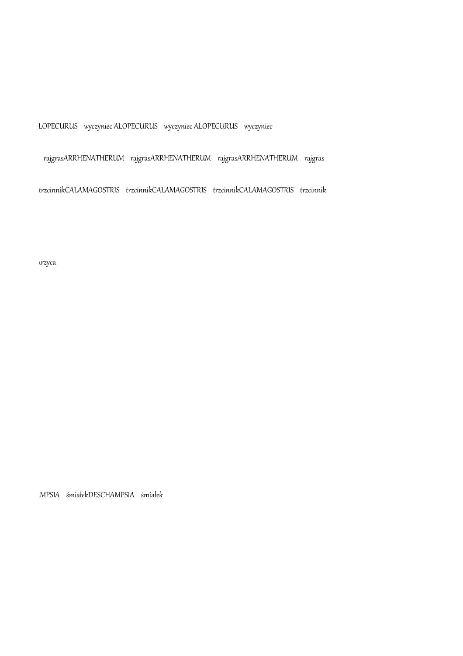wyczyniec ALOPECURUS wyczyniec ALOPECURUS wyczyniec ALOPECURUS wyczyniec ALOPECURUS wyczyniec ALOPECURUS wyczyniec ALOPECURUS wyczyniec

rajgrasARRHENATHERUM rajgrasARRHENATHERUM rajgrasARRHENATHERUM rajgras

trzcinnikCALAMAGOSTRIS trzcinnikCALAMAGOSTRIS trzcinnikCALAMAGOSTRIS trzcinnikCALAMAGOSTRIS trzcinnikCALAMAGOSTRIS trzcinnikCALAMAGOSTRIS trzcinnik

trzyca

MPSIA śmiałekDESCHAMPSIA śmiałek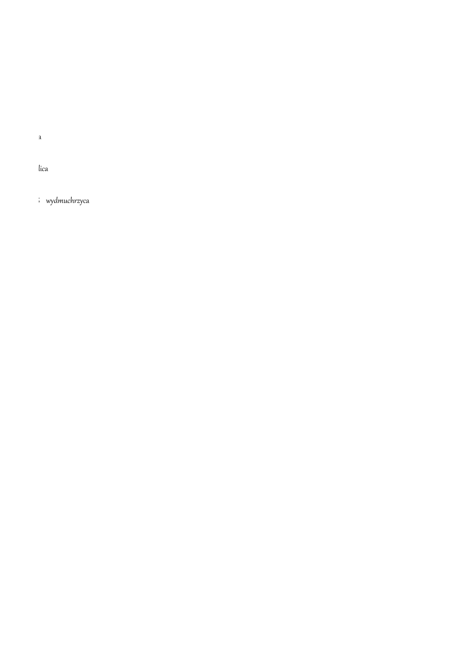imperataIMPERATA imperataIMPERATA imperataIMPERATA imperataIMPERATA imperata

tica koeleria stra

 $\Box$  wydmuchrzyca